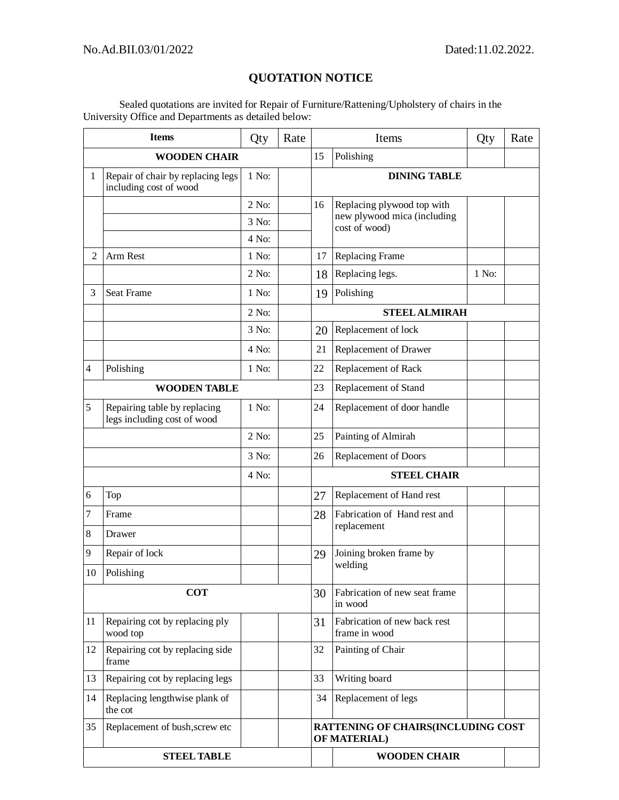## **QUOTATION NOTICE**

Sealed quotations are invited for Repair of Furniture/Rattening/Upholstery of chairs in the University Office and Departments as detailed below:

| <b>Items</b>        |                                                             | Qty     | Rate | Items                |                                                                                   | Qty   | Rate |  |  |
|---------------------|-------------------------------------------------------------|---------|------|----------------------|-----------------------------------------------------------------------------------|-------|------|--|--|
| <b>WOODEN CHAIR</b> |                                                             |         |      | 15                   | Polishing                                                                         |       |      |  |  |
| $\mathbf{1}$        | Repair of chair by replacing legs<br>including cost of wood | 1 No:   |      |                      | <b>DINING TABLE</b>                                                               |       |      |  |  |
|                     |                                                             | $2$ No: |      | 16                   | Replacing plywood top with<br>new plywood mica (including<br>cost of wood)        |       |      |  |  |
|                     |                                                             | 3 No:   |      |                      |                                                                                   |       |      |  |  |
|                     |                                                             | 4 No:   |      |                      |                                                                                   |       |      |  |  |
| $\overline{c}$      | Arm Rest                                                    | 1 No:   |      | 17                   | Replacing Frame                                                                   |       |      |  |  |
|                     |                                                             | $2$ No: |      | 18                   | Replacing legs.                                                                   | 1 No: |      |  |  |
| 3                   | Seat Frame                                                  | 1 No:   |      | 19                   | Polishing                                                                         |       |      |  |  |
|                     |                                                             | $2$ No: |      |                      | <b>STEEL ALMIRAH</b>                                                              |       |      |  |  |
|                     |                                                             | 3 No:   |      | 20                   | Replacement of lock                                                               |       |      |  |  |
|                     |                                                             | 4 No:   |      | 21                   | Replacement of Drawer                                                             |       |      |  |  |
| 4                   | Polishing                                                   | 1 No:   |      | 22                   | Replacement of Rack                                                               |       |      |  |  |
| <b>WOODEN TABLE</b> |                                                             |         | 23   | Replacement of Stand |                                                                                   |       |      |  |  |
| 5                   | Repairing table by replacing<br>legs including cost of wood | 1 No:   |      | 24                   | Replacement of door handle                                                        |       |      |  |  |
|                     |                                                             | $2$ No: |      | 25                   | Painting of Almirah                                                               |       |      |  |  |
|                     |                                                             | 3 No:   |      | 26                   | Replacement of Doors                                                              |       |      |  |  |
| 4 No:               |                                                             |         |      | <b>STEEL CHAIR</b>   |                                                                                   |       |      |  |  |
| 6                   | Top                                                         |         |      | 27                   | Replacement of Hand rest                                                          |       |      |  |  |
| 7                   | Frame                                                       |         |      | 28                   | Fabrication of Hand rest and<br>replacement<br>Joining broken frame by<br>welding |       |      |  |  |
| 8                   | Drawer                                                      |         |      |                      |                                                                                   |       |      |  |  |
| 9                   | Repair of lock                                              |         |      | 29                   |                                                                                   |       |      |  |  |
| 10                  | Polishing                                                   |         |      |                      |                                                                                   |       |      |  |  |
| <b>COT</b>          |                                                             |         |      | 30                   | Fabrication of new seat frame<br>in wood                                          |       |      |  |  |
| 11                  | Repairing cot by replacing ply<br>wood top                  |         |      | 31                   | Fabrication of new back rest<br>frame in wood                                     |       |      |  |  |
| 12                  | Repairing cot by replacing side<br>frame                    |         |      | 32                   | Painting of Chair                                                                 |       |      |  |  |
| 13                  | Repairing cot by replacing legs                             |         |      | 33                   | Writing board                                                                     |       |      |  |  |
| 14                  | Replacing lengthwise plank of<br>the cot                    |         |      | 34                   | Replacement of legs                                                               |       |      |  |  |
| 35                  | Replacement of bush, screw etc                              |         |      |                      | RATTENING OF CHAIRS(INCLUDING COST<br>OF MATERIAL)                                |       |      |  |  |
| <b>STEEL TABLE</b>  |                                                             |         |      |                      | <b>WOODEN CHAIR</b>                                                               |       |      |  |  |